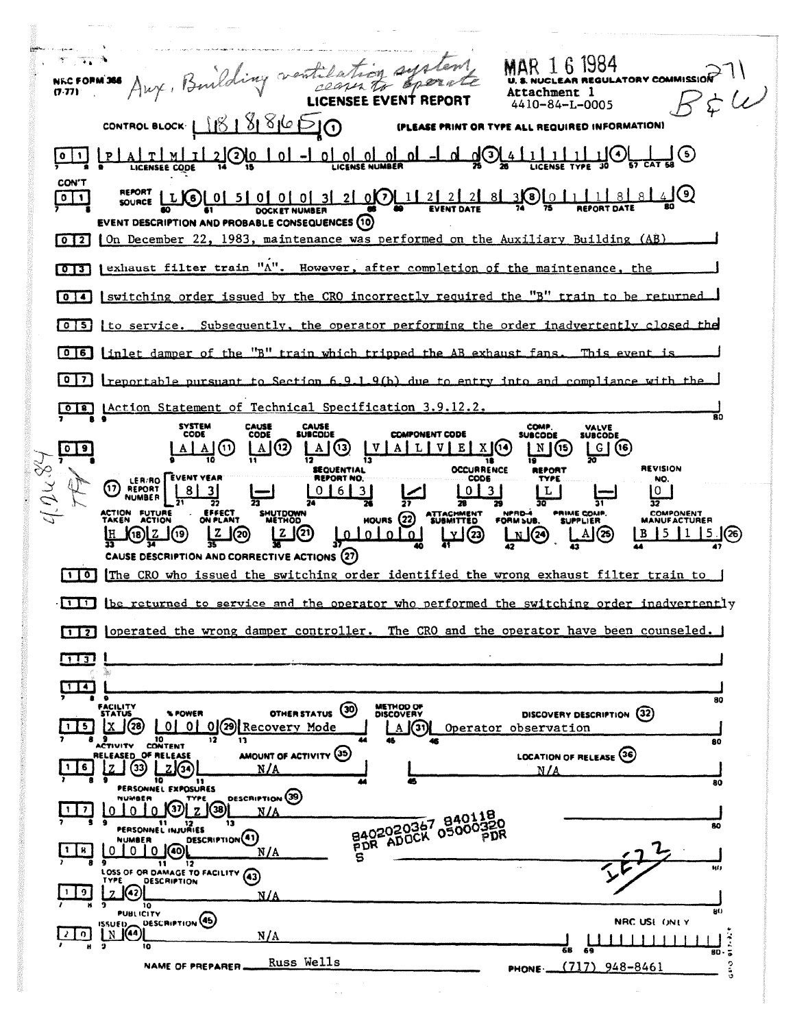$\overline{\mathcal{N}}$  . NECFORM 36 Aux, Building ventilation sys **SAMPLE** Evern Attachment  $35\mu$  $4410 - 84 - L - 0005$ CONTROL BLOCK LIBISISIO (PLEASE PRINT OR TYPE ALL REQUIRED INFORMATION) 110<del>, 4, 5</del>0 <u>OL OL OL OL</u> ज़ॕ⊘ॕॕ  $\left[\frac{P}{A} \frac{1}{\Delta} \frac{1}{\Delta} \frac{1}{\Delta} \frac{1}{\Delta} \frac{1}{\Delta} \frac{1}{\Delta} \frac{1}{\Delta} \frac{1}{\Delta} \frac{1}{\Delta} \frac{1}{\Delta} \frac{1}{\Delta} \frac{1}{\Delta} \frac{1}{\Delta} \frac{1}{\Delta} \frac{1}{\Delta} \frac{1}{\Delta} \frac{1}{\Delta} \frac{1}{\Delta} \frac{1}{\Delta} \frac{1}{\Delta} \frac{1}{\Delta} \frac{1}{\Delta} \frac{1}{\Delta} \frac{1}{\Delta} \frac{1}{\Delta} \frac{1}{\Delta} \frac{$ <u>اہ</u>  $0<sup>1</sup>$ <u>اہ</u> **LICENSEE CODE CON'T** ্র।(ə  $3001118$ SOURCE LLGL01  $20011$  $21$  $0$   $1$ 50000 31 DOCKET NUMBER EVENT DESCRIPTION AND PROBABLE CONSEQUENCES (10) [0][2] On December 22, 1983, maintenance was performed on the Auxiliary Building (AB) 013 | exhaust filter train "A". However, after completion of the maintenance, the 0 4 | switching order issued by the CRO incorrectly required the "B" train to be returned [0][5] to service. Subsequently, the operator performing the order inadvertently closed **OE** [inlet damper of the "B" train which tripped the AB exhaust fans. This event  $[0,7]$  reportable pursuant to Section 6.9.1.9(b) due to entry into and compliance with the **OIE** LAction Statement of Technical Specification 3.9.12.2. **SYSTEM**<br>CODE CAUSE<br>CODE COMP. **CAUSE**<br>SUBCODE VALVE<br>SUBCODE **COMPONENT CODE SUBCODE**  $\frac{\mathbb{U}[\mathbb{A}][\mathbb{L}][\mathbb{U}][\mathbb{E}][\mathbb{X}]}{\mathbb{U}}$  $\lfloor \Delta \rfloor$ (2)  $09$  $A \mid A \mid (1)$  $\begin{array}{c} \boxed{\text{A}} \\ \boxed{\text{C}} \end{array}$  $M(5)$ ပြ (၆)  $40484$ **SEQUENTIAL**<br>REPORT NO: **OCCURRENCE REVISION** LER/RO EVENT YEAR NO. (D REPORT  $LO$ | 3  $\frac{10}{32}$  $|8|3|$ | 0 | 6 | 3 |  $\overline{\mathbf{1}}$ 28 **EFFECT ACTION FUTURE**<br>TAKEN ACTION NPRD. **PRIME COMP.** COMPONENT<br>MANUFACTURER **SHUTDOWN** HOURS<sub>(22)</sub> **JBMITTED FORM SUB** LIER 1z (20) **42** 2 <u>|z |</u>O B 5 1 5 26 لوافلقلها <u>ர் ஒர் 1ஞ</u> کالتا  $\underline{A}(\mathcal{B})$ CAUSE DESCRIPTION AND CORRECTIVE ACTIONS (27) [1]0] The CRO who issued the switching order identified the wrong exhaust filter train to [11] ibe returned to service and the operator who performed the switching order inadvertently [117] loperated the wrong damper controller. The CRO and the operator have been counseled.  $\sqrt{13}$  $\blacksquare$ 80 METHOD OF OTHER STATUS (30) DISCOVERY DESCRIPTION (32) **SPOWER**  $X$  (28 0 0 0 0 29 Recovery Mode  $1 \mid 5 \mid$ A (3) Operator observation **9**<br>ACTIVITY CONTENT 80 AMOUNT OF ACTIVITY (35) **LOCATION OF RELEASE (36)** RELEASED OF RELEASE  $\binom{33}{ }$  $2(3)$  $\mathbf{1}$  $6\phantom{.}$ n / a 80 PERSONNEL EXPOSURES  $101010$   $10121$ **DESCRIPTION** (39)  $1$   $7$ B402020367 05000320  $N/A$ SI 12<br>PERSONNEL INJURIES 80 DESCRIPTION<sup>(41)</sup> NUMBER  $1 \mid 8$ N/A  $0 0 0 0$  (40) s 9<br>LOSS OF OR DAMAGE TO FACILITY (43)  $\overline{\mathbf{u}}$ DESCRIPTION  $|z(\mathbf{Q})|$  $\boxed{1}$  $N/A$ 01<br>PUBLICITY sic) DESCRIPTION (45) NRC USE ONLY  $N$ <sup>(4)</sup>  $\sqrt{2}$  $N/A$ en Russ Wells NAME OF PREPARER.  $(717)$  948-8461 PHONE -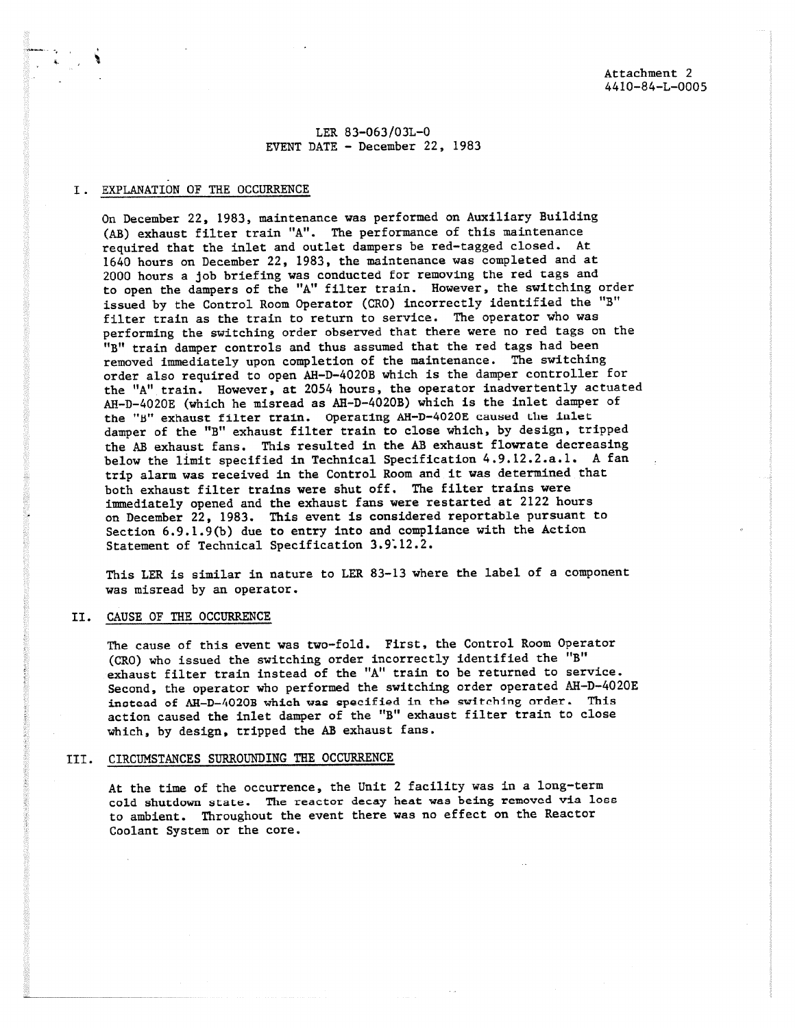LER 83-063/03L-0 EVENT DATE - December 22, 1983

# I. EXPLANATION OF THE OCCURRENCE

On December 22, 1983, maintenance was performed on Auxiliary Building (AB) exhaust filter train "A". The performance of this maintenance required that the inlet and outlet dampers be red-tagged closed. At 1640 hours on December 22, 1983, the maintenance was completed and at 2000 hours a job briefing was conducted for removing the red tags and to open the dampers of the "A" filter train. However, the switching order issued by the Control Room Operator (CR0) incorrectly identified the "B" filter train as the train to return to service. The operator who was performing the switching order observed that there were no red tags on the "B" train damper controls and thus assumed that the red tags had been removed immediately upon completion of the maintenance. The switching order also required to open AH-D-4020B which is the damper controller for the "A" train. However, at 2054 hours, the operator inadvertently actuated AH-D-4020E (which he misread as AR-D-4020B) which is the inlet damper of the "J" exhaust filter train. Operating AH-D-4020E caused Lhe inlet damper of the "B" exhaust filter train to close which, by design, tripped the AB exhaust fans. This resulted in the AB exhaust flowrate decreasing below the limit specified in Technical Specification 4.9.12.2.a.1. A fan trip alarm was received in the Control Room and it was determined that both exhaust filter trains were shut off. The filter trains were immediately opened and the exhaust fans were restarted at 2122 hours on December 22, 1983. This event is considered reportable pursuant to Section 6.9.1.9(b) due to entry into and compliance with the Action Statement of Technical Specification 3.9:12.2.

This LER is similar in nature to LER 83-13 where the label of a component was misread by an operator.

### II. CAUSE OF THE OCCURRENCE

The cause of this event was two-fold. First, the Control Room Operator (CR0) who issued the switching order incorrectly identified the "B" exhaust filter train instead of the "A" train to be returned to service. Second, the operator who performed the switching order operated AH-D-4020E instead of AR-D-4020B which was specified in the switching order. This action caused the inlet damper of the "B" exhaust filter train to close which, by design, tripped the AB exhaust fans.

## III. CIRCUMSTANCES SURROUNDING THE OCCURRENCE

At the time of the occurrence, the Unit 2 facility was in a long-term cold shutdown state. The reactor decay heat was being removed via loss to ambient. Throughout the event there was no effect on the Reactor Coolant System or the core.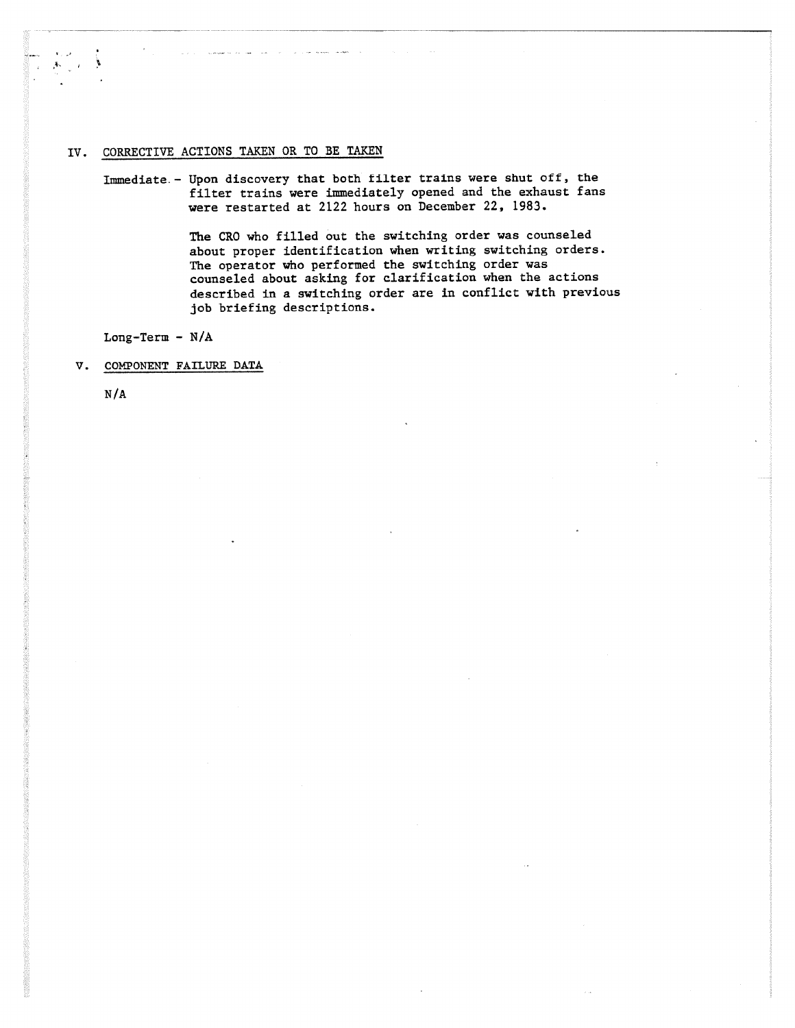# IV. CORRECTIVE ACTIONS TAKEN OR TO BE TAKEN

Immediate.- Upon discovery that both filter trains were shut off, the filter trains were immediately opened and the exhaust fans were restarted at 2122 hours on December 22, 1983.

> The CRO who filled out the switching order was counseled about proper identification when writing switching orders. The operator who performed the switching order was counseled about asking for clarification when the actions described in a switching order are in conflict with previous job briefing descriptions.

Long-Term - **N/A**

V. COMPONENT FAILURE DATA

**N/A**

ý.

あった